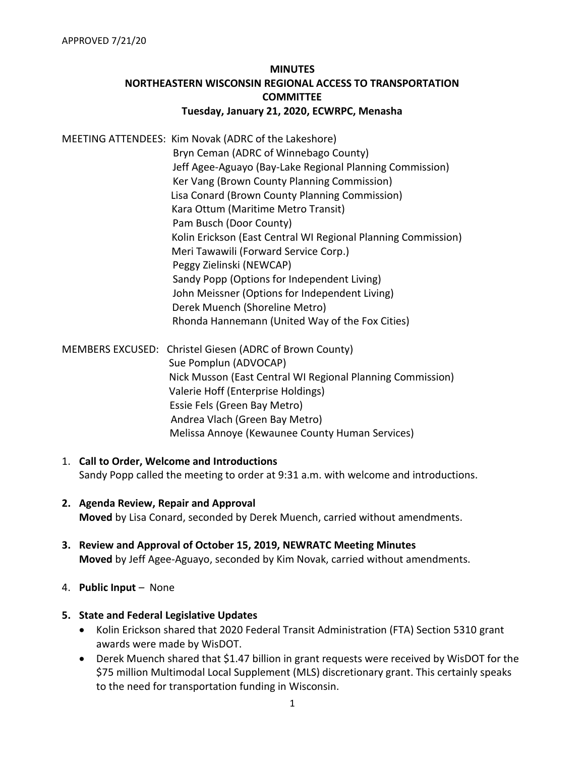# **MINUTES NORTHEASTERN WISCONSIN REGIONAL ACCESS TO TRANSPORTATION COMMITTEE Tuesday, January 21, 2020, ECWRPC, Menasha**

MEETING ATTENDEES: Kim Novak (ADRC of the Lakeshore) Bryn Ceman (ADRC of Winnebago County) Jeff Agee-Aguayo (Bay-Lake Regional Planning Commission) Ker Vang (Brown County Planning Commission) Lisa Conard (Brown County Planning Commission) Kara Ottum (Maritime Metro Transit) Pam Busch (Door County) Kolin Erickson (East Central WI Regional Planning Commission) Meri Tawawili (Forward Service Corp.) Peggy Zielinski (NEWCAP) Sandy Popp (Options for Independent Living) John Meissner (Options for Independent Living) Derek Muench (Shoreline Metro) Rhonda Hannemann (United Way of the Fox Cities)

MEMBERS EXCUSED: Christel Giesen (ADRC of Brown County) Sue Pomplun (ADVOCAP) Nick Musson (East Central WI Regional Planning Commission) Valerie Hoff (Enterprise Holdings) Essie Fels (Green Bay Metro) Andrea Vlach (Green Bay Metro) Melissa Annoye (Kewaunee County Human Services)

- 1. **Call to Order, Welcome and Introductions** Sandy Popp called the meeting to order at 9:31 a.m. with welcome and introductions.
- **2. Agenda Review, Repair and Approval Moved** by Lisa Conard, seconded by Derek Muench, carried without amendments.
- **3. Review and Approval of October 15, 2019, NEWRATC Meeting Minutes Moved** by Jeff Agee-Aguayo, seconded by Kim Novak, carried without amendments.
- 4. **Public Input**  None

## **5. State and Federal Legislative Updates**

- Kolin Erickson shared that 2020 Federal Transit Administration (FTA) Section 5310 grant awards were made by WisDOT.
- Derek Muench shared that \$1.47 billion in grant requests were received by WisDOT for the \$75 million Multimodal Local Supplement (MLS) discretionary grant. This certainly speaks to the need for transportation funding in Wisconsin.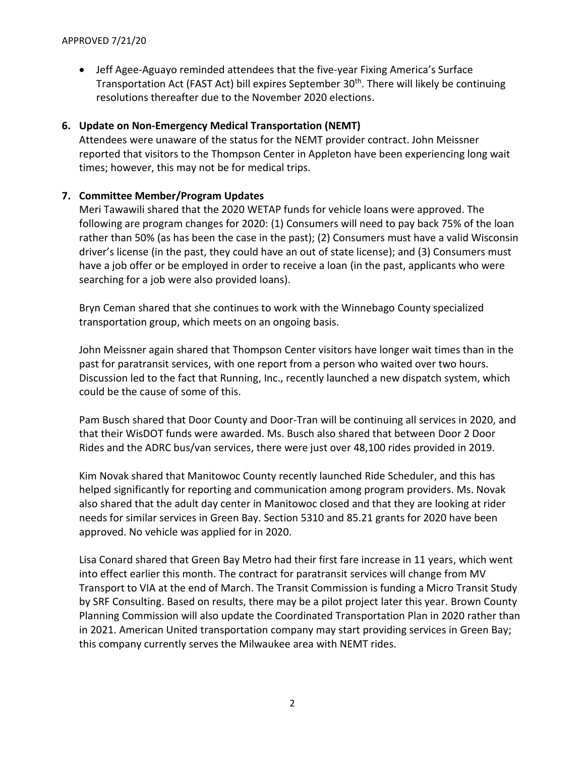• Jeff Agee-Aguayo reminded attendees that the five-year Fixing America's Surface Transportation Act (FAST Act) bill expires September 30<sup>th</sup>. There will likely be continuing resolutions thereafter due to the November 2020 elections.

## **6. Update on Non-Emergency Medical Transportation (NEMT)**

Attendees were unaware of the status for the NEMT provider contract. John Meissner reported that visitors to the Thompson Center in Appleton have been experiencing long wait times; however, this may not be for medical trips.

## **7. Committee Member/Program Updates**

Meri Tawawili shared that the 2020 WETAP funds for vehicle loans were approved. The following are program changes for 2020: (1) Consumers will need to pay back 75% of the loan rather than 50% (as has been the case in the past); (2) Consumers must have a valid Wisconsin driver's license (in the past, they could have an out of state license); and (3) Consumers must have a job offer or be employed in order to receive a loan (in the past, applicants who were searching for a job were also provided loans).

Bryn Ceman shared that she continues to work with the Winnebago County specialized transportation group, which meets on an ongoing basis.

John Meissner again shared that Thompson Center visitors have longer wait times than in the past for paratransit services, with one report from a person who waited over two hours. Discussion led to the fact that Running, Inc., recently launched a new dispatch system, which could be the cause of some of this.

Pam Busch shared that Door County and Door-Tran will be continuing all services in 2020, and that their WisDOT funds were awarded. Ms. Busch also shared that between Door 2 Door Rides and the ADRC bus/van services, there were just over 48,100 rides provided in 2019.

Kim Novak shared that Manitowoc County recently launched Ride Scheduler, and this has helped significantly for reporting and communication among program providers. Ms. Novak also shared that the adult day center in Manitowoc closed and that they are looking at rider needs for similar services in Green Bay. Section 5310 and 85.21 grants for 2020 have been approved. No vehicle was applied for in 2020.

Lisa Conard shared that Green Bay Metro had their first fare increase in 11 years, which went into effect earlier this month. The contract for paratransit services will change from MV Transport to VIA at the end of March. The Transit Commission is funding a Micro Transit Study by SRF Consulting. Based on results, there may be a pilot project later this year. Brown County Planning Commission will also update the Coordinated Transportation Plan in 2020 rather than in 2021. American United transportation company may start providing services in Green Bay; this company currently serves the Milwaukee area with NEMT rides.